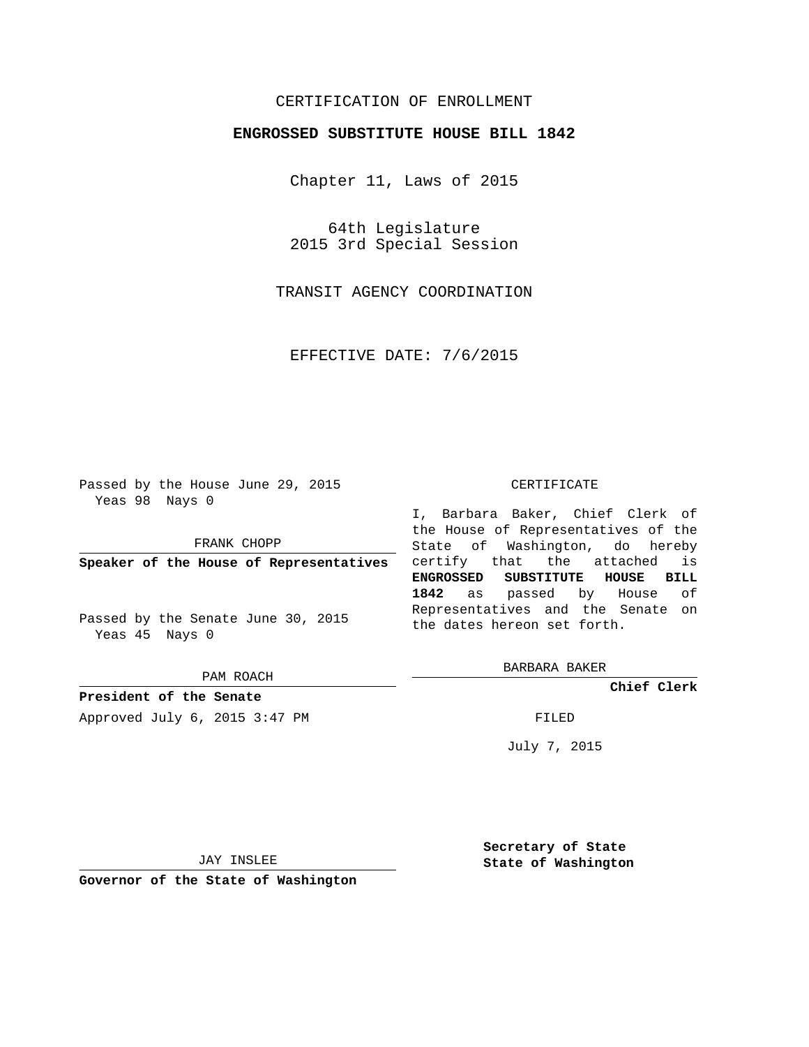# CERTIFICATION OF ENROLLMENT

## **ENGROSSED SUBSTITUTE HOUSE BILL 1842**

Chapter 11, Laws of 2015

64th Legislature 2015 3rd Special Session

TRANSIT AGENCY COORDINATION

EFFECTIVE DATE: 7/6/2015

Passed by the House June 29, 2015 Yeas 98 Nays 0

FRANK CHOPP

**Speaker of the House of Representatives**

Passed by the Senate June 30, 2015 Yeas 45 Nays 0

PAM ROACH

**President of the Senate** Approved July 6, 2015 3:47 PM FILED

#### CERTIFICATE

I, Barbara Baker, Chief Clerk of the House of Representatives of the State of Washington, do hereby certify that the attached is **ENGROSSED SUBSTITUTE HOUSE BILL 1842** as passed by House of Representatives and the Senate on the dates hereon set forth.

BARBARA BAKER

**Chief Clerk**

July 7, 2015

JAY INSLEE

**Governor of the State of Washington**

**Secretary of State State of Washington**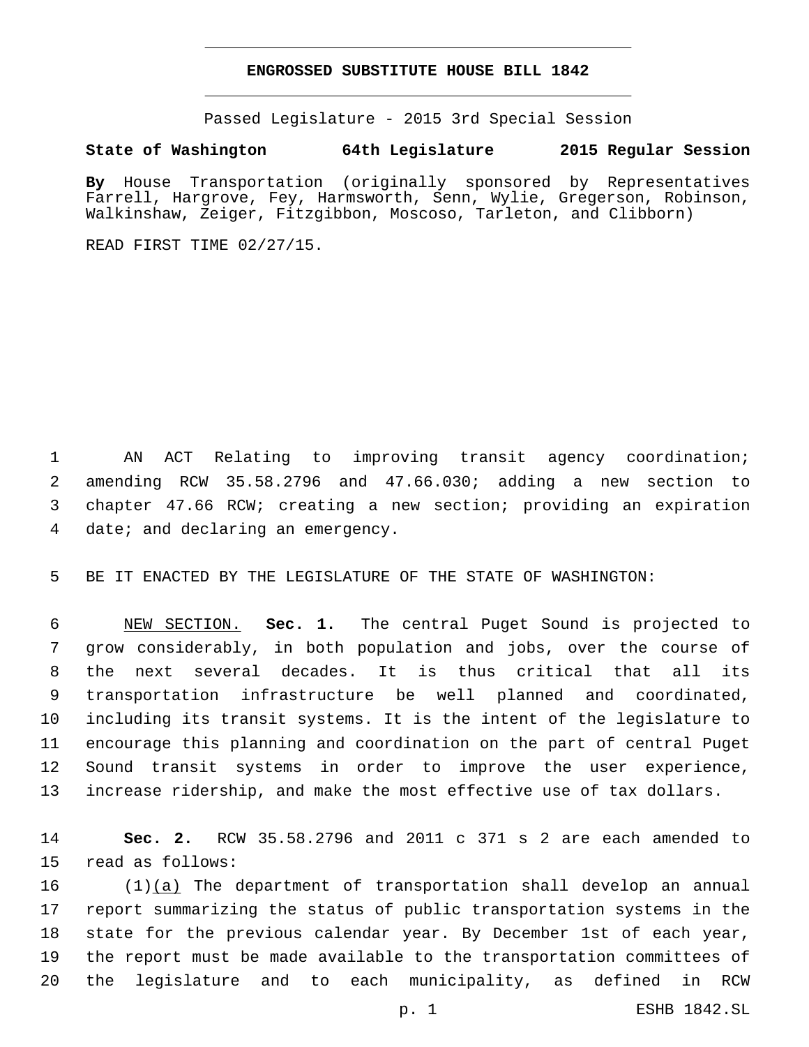### **ENGROSSED SUBSTITUTE HOUSE BILL 1842**

Passed Legislature - 2015 3rd Special Session

## **State of Washington 64th Legislature 2015 Regular Session**

**By** House Transportation (originally sponsored by Representatives Farrell, Hargrove, Fey, Harmsworth, Senn, Wylie, Gregerson, Robinson, Walkinshaw, Zeiger, Fitzgibbon, Moscoso, Tarleton, and Clibborn)

READ FIRST TIME 02/27/15.

 AN ACT Relating to improving transit agency coordination; amending RCW 35.58.2796 and 47.66.030; adding a new section to chapter 47.66 RCW; creating a new section; providing an expiration 4 date; and declaring an emergency.

BE IT ENACTED BY THE LEGISLATURE OF THE STATE OF WASHINGTON:

 NEW SECTION. **Sec. 1.** The central Puget Sound is projected to grow considerably, in both population and jobs, over the course of the next several decades. It is thus critical that all its transportation infrastructure be well planned and coordinated, including its transit systems. It is the intent of the legislature to encourage this planning and coordination on the part of central Puget Sound transit systems in order to improve the user experience, increase ridership, and make the most effective use of tax dollars.

 **Sec. 2.** RCW 35.58.2796 and 2011 c 371 s 2 are each amended to 15 read as follows:

16 (1)(a) The department of transportation shall develop an annual report summarizing the status of public transportation systems in the state for the previous calendar year. By December 1st of each year, the report must be made available to the transportation committees of the legislature and to each municipality, as defined in RCW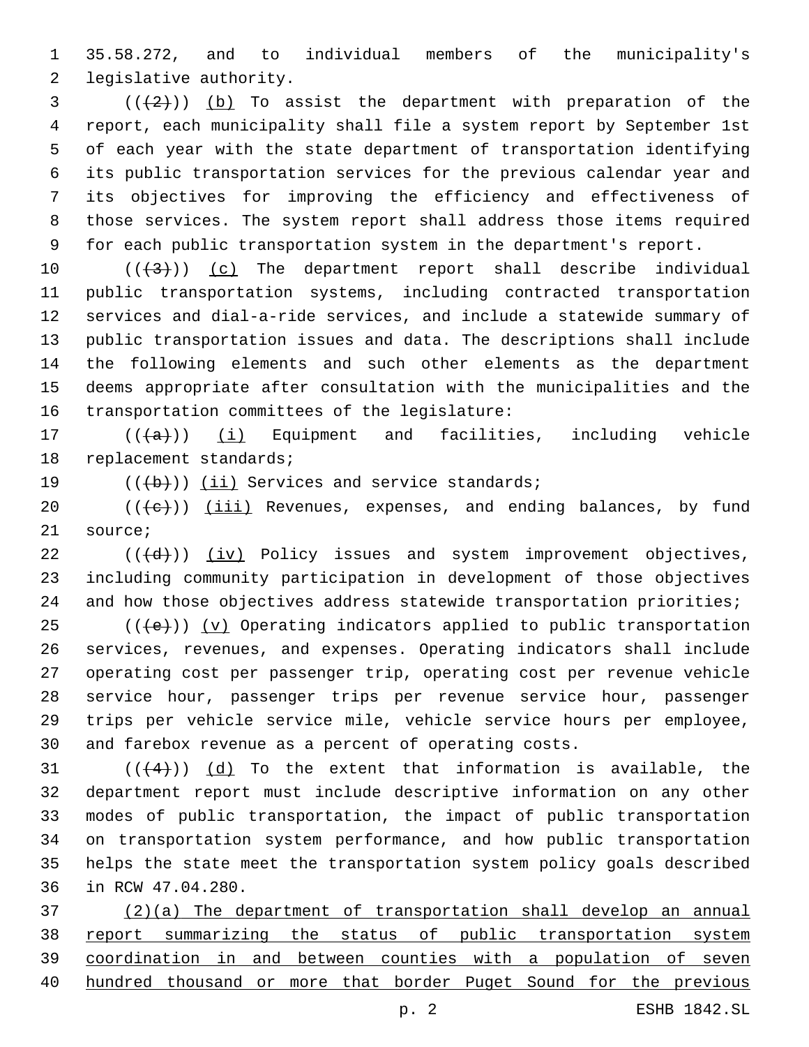35.58.272, and to individual members of the municipality's 2 legislative authority.

 ( $(\frac{2}{2})$ ) (b) To assist the department with preparation of the report, each municipality shall file a system report by September 1st of each year with the state department of transportation identifying its public transportation services for the previous calendar year and its objectives for improving the efficiency and effectiveness of those services. The system report shall address those items required for each public transportation system in the department's report.

 $((+3+))$   $(c)$  The department report shall describe individual public transportation systems, including contracted transportation services and dial-a-ride services, and include a statewide summary of public transportation issues and data. The descriptions shall include the following elements and such other elements as the department deems appropriate after consultation with the municipalities and the 16 transportation committees of the legislature:

17  $((+a))$   $(i)$  Equipment and facilities, including vehicle 18 replacement standards;

19  $((+b))$   $(ii)$  Services and service standards;

 (( $\leftarrow$ )) (iii) Revenues, expenses, and ending balances, by fund 21 source;

 ( $(\overline{d})$ ) (iv) Policy issues and system improvement objectives, including community participation in development of those objectives 24 and how those objectives address statewide transportation priorities;

 $((+e))$   $(y)$  Operating indicators applied to public transportation services, revenues, and expenses. Operating indicators shall include operating cost per passenger trip, operating cost per revenue vehicle service hour, passenger trips per revenue service hour, passenger trips per vehicle service mile, vehicle service hours per employee, and farebox revenue as a percent of operating costs.

 $((+4))$   $(d)$  To the extent that information is available, the department report must include descriptive information on any other modes of public transportation, the impact of public transportation on transportation system performance, and how public transportation helps the state meet the transportation system policy goals described 36 in RCW 47.04.280.

 (2)(a) The department of transportation shall develop an annual report summarizing the status of public transportation system coordination in and between counties with a population of seven hundred thousand or more that border Puget Sound for the previous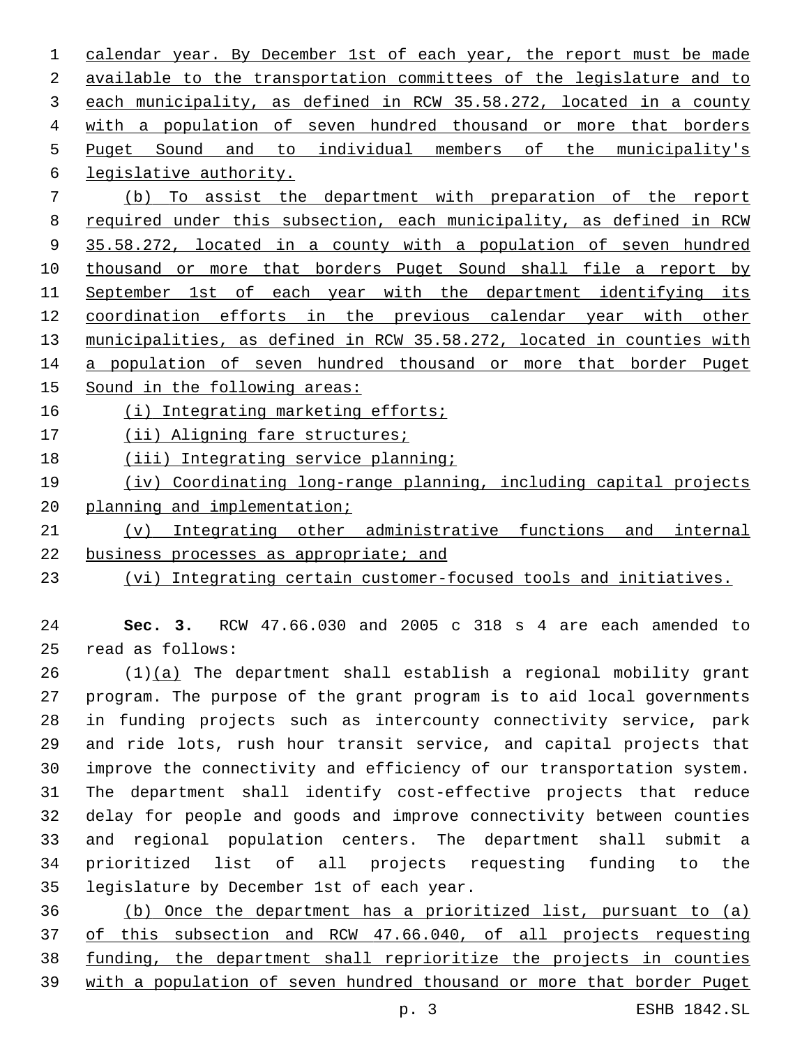calendar year. By December 1st of each year, the report must be made available to the transportation committees of the legislature and to each municipality, as defined in RCW 35.58.272, located in a county with a population of seven hundred thousand or more that borders Puget Sound and to individual members of the municipality's legislative authority.6

 (b) To assist the department with preparation of the report required under this subsection, each municipality, as defined in RCW 35.58.272, located in a county with a population of seven hundred 10 thousand or more that borders Puget Sound shall file a report by 11 September 1st of each year with the department identifying its coordination efforts in the previous calendar year with other municipalities, as defined in RCW 35.58.272, located in counties with 14 a population of seven hundred thousand or more that border Puget

Sound in the following areas:

(i) Integrating marketing efforts;

17 (ii) Aligning fare structures;

18 (iii) Integrating service planning;

 (iv) Coordinating long-range planning, including capital projects planning and implementation;

 (v) Integrating other administrative functions and internal 22 business processes as appropriate; and

(vi) Integrating certain customer-focused tools and initiatives.

 **Sec. 3.** RCW 47.66.030 and 2005 c 318 s 4 are each amended to read as follows:25

 (1)(a) The department shall establish a regional mobility grant program. The purpose of the grant program is to aid local governments in funding projects such as intercounty connectivity service, park and ride lots, rush hour transit service, and capital projects that improve the connectivity and efficiency of our transportation system. The department shall identify cost-effective projects that reduce delay for people and goods and improve connectivity between counties and regional population centers. The department shall submit a prioritized list of all projects requesting funding to the 35 legislature by December 1st of each year.

 (b) Once the department has a prioritized list, pursuant to (a) of this subsection and RCW 47.66.040, of all projects requesting funding, the department shall reprioritize the projects in counties with a population of seven hundred thousand or more that border Puget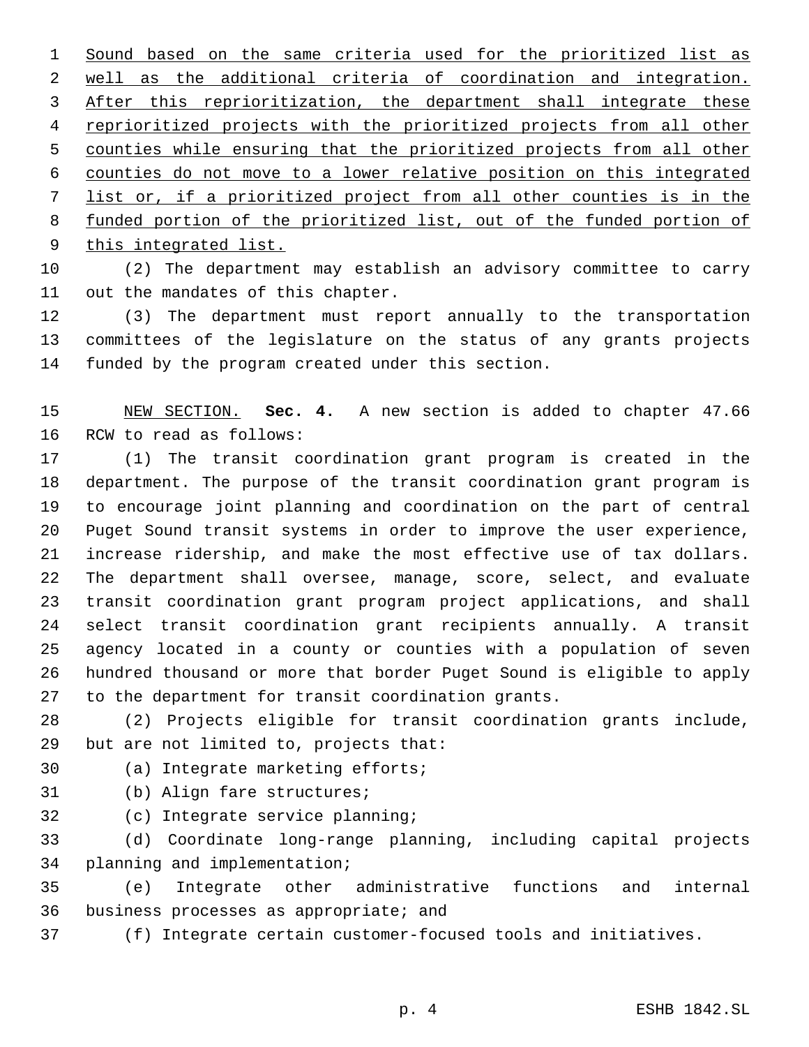Sound based on the same criteria used for the prioritized list as well as the additional criteria of coordination and integration. After this reprioritization, the department shall integrate these reprioritized projects with the prioritized projects from all other counties while ensuring that the prioritized projects from all other counties do not move to a lower relative position on this integrated list or, if a prioritized project from all other counties is in the funded portion of the prioritized list, out of the funded portion of 9 this integrated list.

 (2) The department may establish an advisory committee to carry 11 out the mandates of this chapter.

 (3) The department must report annually to the transportation committees of the legislature on the status of any grants projects 14 funded by the program created under this section.

 NEW SECTION. **Sec. 4.** A new section is added to chapter 47.66 16 RCW to read as follows:

 (1) The transit coordination grant program is created in the department. The purpose of the transit coordination grant program is to encourage joint planning and coordination on the part of central Puget Sound transit systems in order to improve the user experience, increase ridership, and make the most effective use of tax dollars. The department shall oversee, manage, score, select, and evaluate transit coordination grant program project applications, and shall select transit coordination grant recipients annually. A transit agency located in a county or counties with a population of seven hundred thousand or more that border Puget Sound is eligible to apply to the department for transit coordination grants.

 (2) Projects eligible for transit coordination grants include, 29 but are not limited to, projects that:

30 (a) Integrate marketing efforts;

- 31 (b) Align fare structures;
- 32 (c) Integrate service planning;

 (d) Coordinate long-range planning, including capital projects 34 planning and implementation;

 (e) Integrate other administrative functions and internal 36 business processes as appropriate; and

(f) Integrate certain customer-focused tools and initiatives.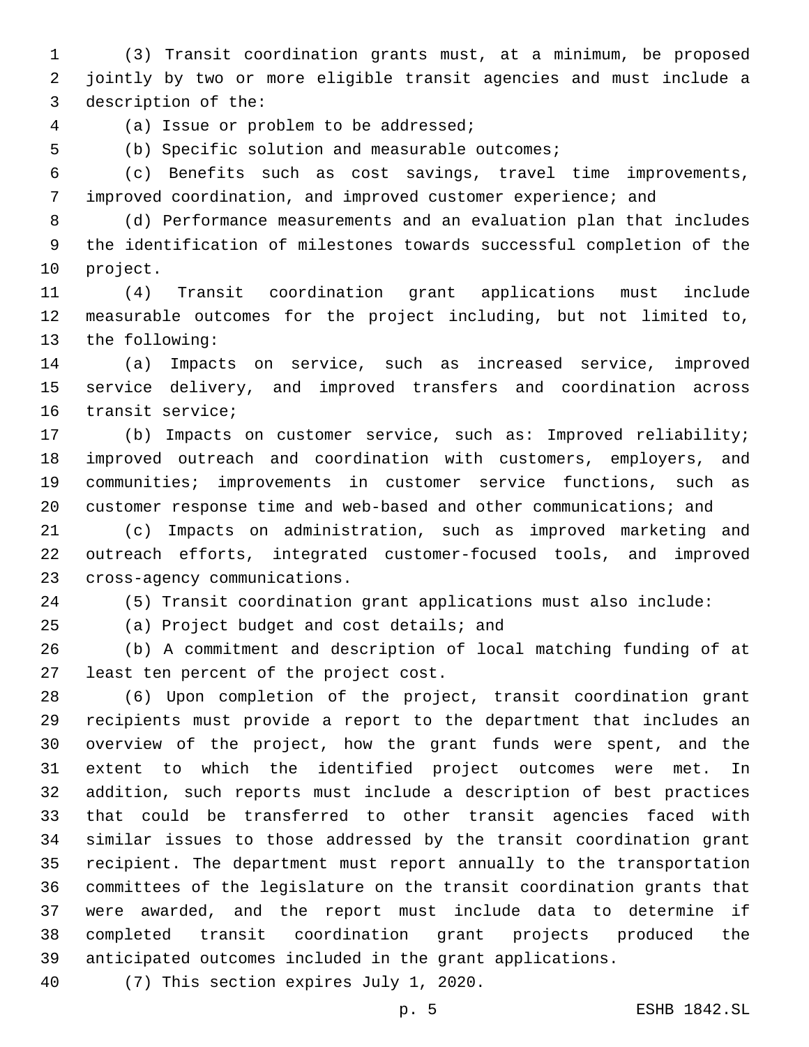(3) Transit coordination grants must, at a minimum, be proposed jointly by two or more eligible transit agencies and must include a 3 description of the:

(a) Issue or problem to be addressed;4

5 (b) Specific solution and measurable outcomes;

 (c) Benefits such as cost savings, travel time improvements, improved coordination, and improved customer experience; and

 (d) Performance measurements and an evaluation plan that includes the identification of milestones towards successful completion of the 10 project.

 (4) Transit coordination grant applications must include measurable outcomes for the project including, but not limited to, 13 the following:

 (a) Impacts on service, such as increased service, improved service delivery, and improved transfers and coordination across 16 transit service;

 (b) Impacts on customer service, such as: Improved reliability; improved outreach and coordination with customers, employers, and communities; improvements in customer service functions, such as customer response time and web-based and other communications; and

 (c) Impacts on administration, such as improved marketing and outreach efforts, integrated customer-focused tools, and improved 23 cross-agency communications.

(5) Transit coordination grant applications must also include:

25 (a) Project budget and cost details; and

 (b) A commitment and description of local matching funding of at 27 least ten percent of the project cost.

 (6) Upon completion of the project, transit coordination grant recipients must provide a report to the department that includes an overview of the project, how the grant funds were spent, and the extent to which the identified project outcomes were met. In addition, such reports must include a description of best practices that could be transferred to other transit agencies faced with similar issues to those addressed by the transit coordination grant recipient. The department must report annually to the transportation committees of the legislature on the transit coordination grants that were awarded, and the report must include data to determine if completed transit coordination grant projects produced the anticipated outcomes included in the grant applications.

40 (7) This section expires July 1, 2020.

p. 5 ESHB 1842.SL